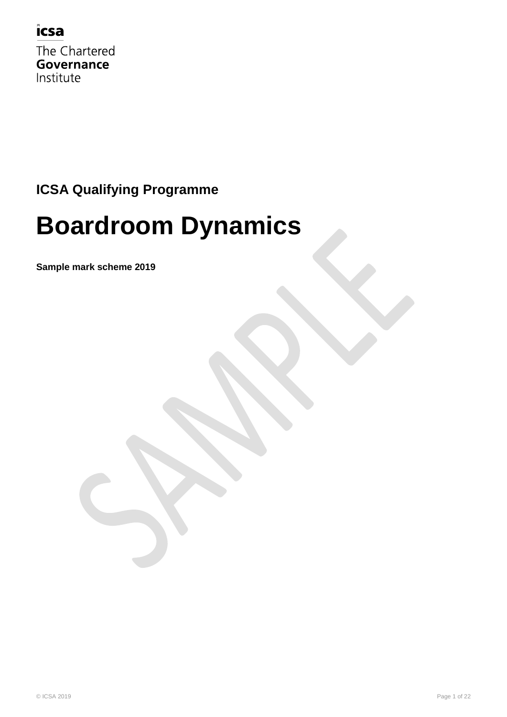

The Chartered **Governance** Institute

## **ICSA Qualifying Programme**

## **Boardroom Dynamics**

**Sample mark scheme 2019**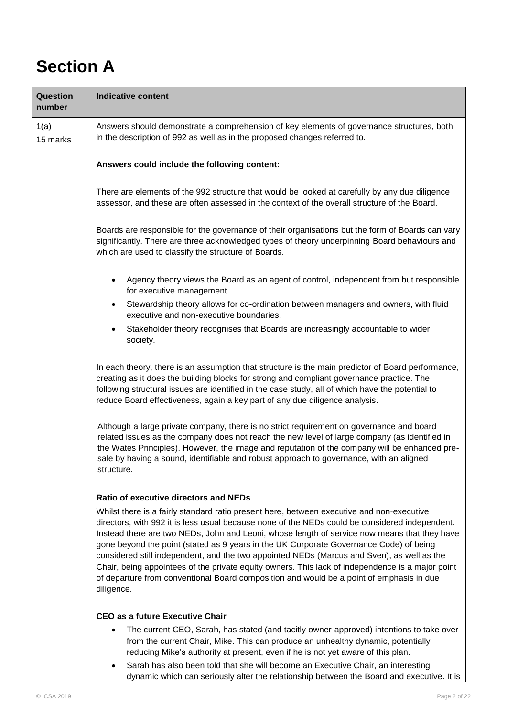## **Section A**

| Question<br>number | <b>Indicative content</b>                                                                                                                                                                                                                                                                                                                                                                                                                                                                                                                                                                                                                                                                         |
|--------------------|---------------------------------------------------------------------------------------------------------------------------------------------------------------------------------------------------------------------------------------------------------------------------------------------------------------------------------------------------------------------------------------------------------------------------------------------------------------------------------------------------------------------------------------------------------------------------------------------------------------------------------------------------------------------------------------------------|
| 1(a)<br>15 marks   | Answers should demonstrate a comprehension of key elements of governance structures, both<br>in the description of 992 as well as in the proposed changes referred to.                                                                                                                                                                                                                                                                                                                                                                                                                                                                                                                            |
|                    | Answers could include the following content:                                                                                                                                                                                                                                                                                                                                                                                                                                                                                                                                                                                                                                                      |
|                    | There are elements of the 992 structure that would be looked at carefully by any due diligence<br>assessor, and these are often assessed in the context of the overall structure of the Board.                                                                                                                                                                                                                                                                                                                                                                                                                                                                                                    |
|                    | Boards are responsible for the governance of their organisations but the form of Boards can vary<br>significantly. There are three acknowledged types of theory underpinning Board behaviours and<br>which are used to classify the structure of Boards.                                                                                                                                                                                                                                                                                                                                                                                                                                          |
|                    | Agency theory views the Board as an agent of control, independent from but responsible<br>for executive management.                                                                                                                                                                                                                                                                                                                                                                                                                                                                                                                                                                               |
|                    | Stewardship theory allows for co-ordination between managers and owners, with fluid<br>executive and non-executive boundaries.                                                                                                                                                                                                                                                                                                                                                                                                                                                                                                                                                                    |
|                    | Stakeholder theory recognises that Boards are increasingly accountable to wider<br>society.                                                                                                                                                                                                                                                                                                                                                                                                                                                                                                                                                                                                       |
|                    | In each theory, there is an assumption that structure is the main predictor of Board performance,<br>creating as it does the building blocks for strong and compliant governance practice. The<br>following structural issues are identified in the case study, all of which have the potential to<br>reduce Board effectiveness, again a key part of any due diligence analysis.                                                                                                                                                                                                                                                                                                                 |
|                    | Although a large private company, there is no strict requirement on governance and board<br>related issues as the company does not reach the new level of large company (as identified in<br>the Wates Principles). However, the image and reputation of the company will be enhanced pre-<br>sale by having a sound, identifiable and robust approach to governance, with an aligned<br>structure.                                                                                                                                                                                                                                                                                               |
|                    | <b>Ratio of executive directors and NEDs</b>                                                                                                                                                                                                                                                                                                                                                                                                                                                                                                                                                                                                                                                      |
|                    | Whilst there is a fairly standard ratio present here, between executive and non-executive<br>directors, with 992 it is less usual because none of the NEDs could be considered independent.<br>Instead there are two NEDs, John and Leoni, whose length of service now means that they have<br>gone beyond the point (stated as 9 years in the UK Corporate Governance Code) of being<br>considered still independent, and the two appointed NEDs (Marcus and Sven), as well as the<br>Chair, being appointees of the private equity owners. This lack of independence is a major point<br>of departure from conventional Board composition and would be a point of emphasis in due<br>diligence. |
|                    | <b>CEO as a future Executive Chair</b>                                                                                                                                                                                                                                                                                                                                                                                                                                                                                                                                                                                                                                                            |
|                    | The current CEO, Sarah, has stated (and tacitly owner-approved) intentions to take over<br>from the current Chair, Mike. This can produce an unhealthy dynamic, potentially<br>reducing Mike's authority at present, even if he is not yet aware of this plan.                                                                                                                                                                                                                                                                                                                                                                                                                                    |
|                    | Sarah has also been told that she will become an Executive Chair, an interesting<br>dynamic which can seriously alter the relationship between the Board and executive. It is                                                                                                                                                                                                                                                                                                                                                                                                                                                                                                                     |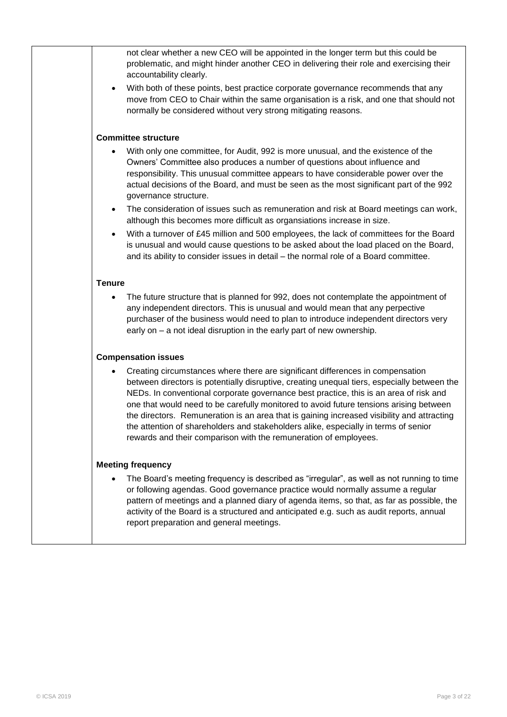| not clear whether a new CEO will be appointed in the longer term but this could be<br>problematic, and might hinder another CEO in delivering their role and exercising their<br>accountability clearly.                                                                                                                                                                                                                                                                                                                                                                                                                  |
|---------------------------------------------------------------------------------------------------------------------------------------------------------------------------------------------------------------------------------------------------------------------------------------------------------------------------------------------------------------------------------------------------------------------------------------------------------------------------------------------------------------------------------------------------------------------------------------------------------------------------|
| With both of these points, best practice corporate governance recommends that any<br>$\bullet$<br>move from CEO to Chair within the same organisation is a risk, and one that should not<br>normally be considered without very strong mitigating reasons.                                                                                                                                                                                                                                                                                                                                                                |
| <b>Committee structure</b>                                                                                                                                                                                                                                                                                                                                                                                                                                                                                                                                                                                                |
| With only one committee, for Audit, 992 is more unusual, and the existence of the<br>Owners' Committee also produces a number of questions about influence and<br>responsibility. This unusual committee appears to have considerable power over the<br>actual decisions of the Board, and must be seen as the most significant part of the 992<br>governance structure.                                                                                                                                                                                                                                                  |
| The consideration of issues such as remuneration and risk at Board meetings can work,<br>$\bullet$<br>although this becomes more difficult as organsiations increase in size.                                                                                                                                                                                                                                                                                                                                                                                                                                             |
| With a turnover of £45 million and 500 employees, the lack of committees for the Board<br>$\bullet$<br>is unusual and would cause questions to be asked about the load placed on the Board,<br>and its ability to consider issues in detail – the normal role of a Board committee.                                                                                                                                                                                                                                                                                                                                       |
| <b>Tenure</b>                                                                                                                                                                                                                                                                                                                                                                                                                                                                                                                                                                                                             |
| The future structure that is planned for 992, does not contemplate the appointment of<br>٠<br>any independent directors. This is unusual and would mean that any perpective<br>purchaser of the business would need to plan to introduce independent directors very<br>early on – a not ideal disruption in the early part of new ownership.                                                                                                                                                                                                                                                                              |
| <b>Compensation issues</b>                                                                                                                                                                                                                                                                                                                                                                                                                                                                                                                                                                                                |
| Creating circumstances where there are significant differences in compensation<br>between directors is potentially disruptive, creating unequal tiers, especially between the<br>NEDs. In conventional corporate governance best practice, this is an area of risk and<br>one that would need to be carefully monitored to avoid future tensions arising between<br>the directors. Remuneration is an area that is gaining increased visibility and attracting<br>the attention of shareholders and stakeholders alike, especially in terms of senior<br>rewards and their comparison with the remuneration of employees. |
| <b>Meeting frequency</b>                                                                                                                                                                                                                                                                                                                                                                                                                                                                                                                                                                                                  |
| The Board's meeting frequency is described as "irregular", as well as not running to time<br>or following agendas. Good governance practice would normally assume a regular<br>pattern of meetings and a planned diary of agenda items, so that, as far as possible, the<br>activity of the Board is a structured and anticipated e.g. such as audit reports, annual<br>report preparation and general meetings.                                                                                                                                                                                                          |
|                                                                                                                                                                                                                                                                                                                                                                                                                                                                                                                                                                                                                           |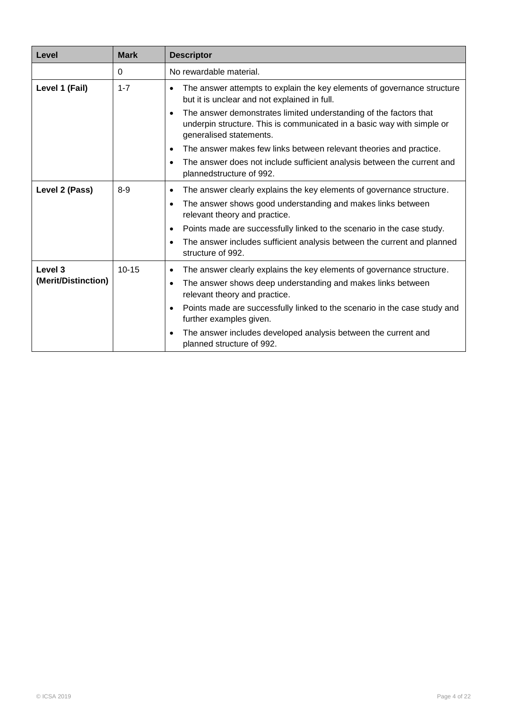| Level               | <b>Mark</b> | <b>Descriptor</b>                                                                                                                                                                   |
|---------------------|-------------|-------------------------------------------------------------------------------------------------------------------------------------------------------------------------------------|
|                     | 0           | No rewardable material.                                                                                                                                                             |
| Level 1 (Fail)      | $1 - 7$     | The answer attempts to explain the key elements of governance structure<br>$\bullet$<br>but it is unclear and not explained in full.                                                |
|                     |             | The answer demonstrates limited understanding of the factors that<br>$\bullet$<br>underpin structure. This is communicated in a basic way with simple or<br>generalised statements. |
|                     |             | The answer makes few links between relevant theories and practice.                                                                                                                  |
|                     |             | The answer does not include sufficient analysis between the current and<br>$\bullet$<br>plannedstructure of 992.                                                                    |
| Level 2 (Pass)      | $8-9$       | The answer clearly explains the key elements of governance structure.<br>$\bullet$                                                                                                  |
|                     |             | The answer shows good understanding and makes links between<br>$\bullet$<br>relevant theory and practice.                                                                           |
|                     |             | Points made are successfully linked to the scenario in the case study.                                                                                                              |
|                     |             | The answer includes sufficient analysis between the current and planned<br>structure of 992.                                                                                        |
| Level 3             | $10 - 15$   | The answer clearly explains the key elements of governance structure.<br>$\bullet$                                                                                                  |
| (Merit/Distinction) |             | The answer shows deep understanding and makes links between<br>relevant theory and practice.                                                                                        |
|                     |             | Points made are successfully linked to the scenario in the case study and<br>further examples given.                                                                                |
|                     |             | The answer includes developed analysis between the current and<br>planned structure of 992.                                                                                         |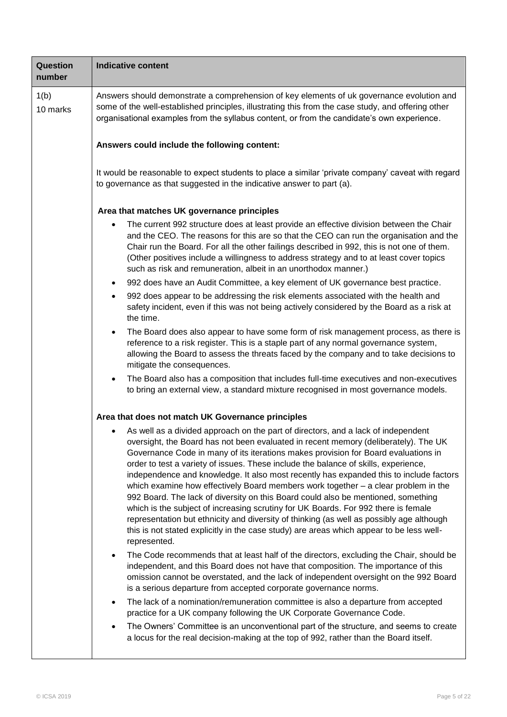| Question<br>number | <b>Indicative content</b>                                                                                                                                                                                                                                                                                                                                                                                                                                                                                                                                                                                                                                                                                                                                                                                                                                                                                                |  |  |  |
|--------------------|--------------------------------------------------------------------------------------------------------------------------------------------------------------------------------------------------------------------------------------------------------------------------------------------------------------------------------------------------------------------------------------------------------------------------------------------------------------------------------------------------------------------------------------------------------------------------------------------------------------------------------------------------------------------------------------------------------------------------------------------------------------------------------------------------------------------------------------------------------------------------------------------------------------------------|--|--|--|
| 1(b)<br>10 marks   | Answers should demonstrate a comprehension of key elements of uk governance evolution and<br>some of the well-established principles, illustrating this from the case study, and offering other<br>organisational examples from the syllabus content, or from the candidate's own experience.                                                                                                                                                                                                                                                                                                                                                                                                                                                                                                                                                                                                                            |  |  |  |
|                    | Answers could include the following content:                                                                                                                                                                                                                                                                                                                                                                                                                                                                                                                                                                                                                                                                                                                                                                                                                                                                             |  |  |  |
|                    | It would be reasonable to expect students to place a similar 'private company' caveat with regard<br>to governance as that suggested in the indicative answer to part (a).                                                                                                                                                                                                                                                                                                                                                                                                                                                                                                                                                                                                                                                                                                                                               |  |  |  |
|                    | Area that matches UK governance principles                                                                                                                                                                                                                                                                                                                                                                                                                                                                                                                                                                                                                                                                                                                                                                                                                                                                               |  |  |  |
|                    | The current 992 structure does at least provide an effective division between the Chair<br>and the CEO. The reasons for this are so that the CEO can run the organisation and the<br>Chair run the Board. For all the other failings described in 992, this is not one of them.<br>(Other positives include a willingness to address strategy and to at least cover topics<br>such as risk and remuneration, albeit in an unorthodox manner.)                                                                                                                                                                                                                                                                                                                                                                                                                                                                            |  |  |  |
|                    | 992 does have an Audit Committee, a key element of UK governance best practice.<br>$\bullet$                                                                                                                                                                                                                                                                                                                                                                                                                                                                                                                                                                                                                                                                                                                                                                                                                             |  |  |  |
|                    | 992 does appear to be addressing the risk elements associated with the health and<br>$\bullet$<br>safety incident, even if this was not being actively considered by the Board as a risk at<br>the time.                                                                                                                                                                                                                                                                                                                                                                                                                                                                                                                                                                                                                                                                                                                 |  |  |  |
|                    | The Board does also appear to have some form of risk management process, as there is<br>$\bullet$<br>reference to a risk register. This is a staple part of any normal governance system,<br>allowing the Board to assess the threats faced by the company and to take decisions to<br>mitigate the consequences.                                                                                                                                                                                                                                                                                                                                                                                                                                                                                                                                                                                                        |  |  |  |
|                    | The Board also has a composition that includes full-time executives and non-executives<br>to bring an external view, a standard mixture recognised in most governance models.                                                                                                                                                                                                                                                                                                                                                                                                                                                                                                                                                                                                                                                                                                                                            |  |  |  |
|                    | Area that does not match UK Governance principles                                                                                                                                                                                                                                                                                                                                                                                                                                                                                                                                                                                                                                                                                                                                                                                                                                                                        |  |  |  |
|                    | As well as a divided approach on the part of directors, and a lack of independent<br>oversight, the Board has not been evaluated in recent memory (deliberately). The UK<br>Governance Code in many of its iterations makes provision for Board evaluations in<br>order to test a variety of issues. These include the balance of skills, experience,<br>independence and knowledge. It also most recently has expanded this to include factors<br>which examine how effectively Board members work together - a clear problem in the<br>992 Board. The lack of diversity on this Board could also be mentioned, something<br>which is the subject of increasing scrutiny for UK Boards. For 992 there is female<br>representation but ethnicity and diversity of thinking (as well as possibly age although<br>this is not stated explicitly in the case study) are areas which appear to be less well-<br>represented. |  |  |  |
|                    | The Code recommends that at least half of the directors, excluding the Chair, should be<br>independent, and this Board does not have that composition. The importance of this<br>omission cannot be overstated, and the lack of independent oversight on the 992 Board<br>is a serious departure from accepted corporate governance norms.                                                                                                                                                                                                                                                                                                                                                                                                                                                                                                                                                                               |  |  |  |
|                    | The lack of a nomination/remuneration committee is also a departure from accepted<br>$\bullet$<br>practice for a UK company following the UK Corporate Governance Code.                                                                                                                                                                                                                                                                                                                                                                                                                                                                                                                                                                                                                                                                                                                                                  |  |  |  |
|                    | The Owners' Committee is an unconventional part of the structure, and seems to create<br>a locus for the real decision-making at the top of 992, rather than the Board itself.                                                                                                                                                                                                                                                                                                                                                                                                                                                                                                                                                                                                                                                                                                                                           |  |  |  |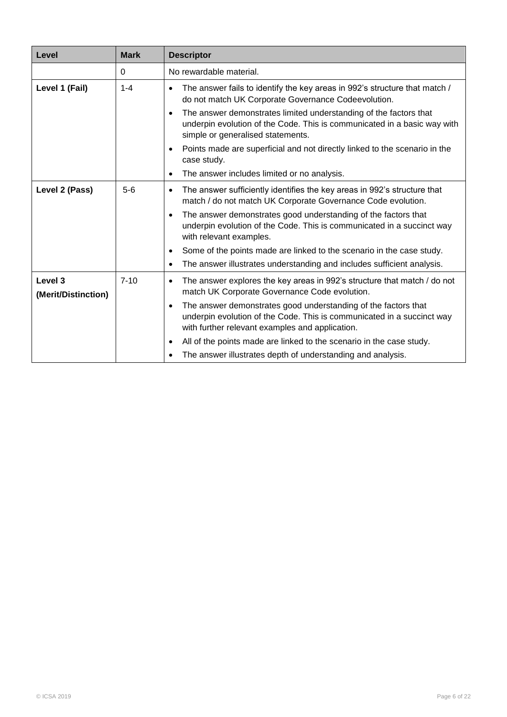| Level                                     | <b>Mark</b> | <b>Descriptor</b>                                                                                                                                                                                        |
|-------------------------------------------|-------------|----------------------------------------------------------------------------------------------------------------------------------------------------------------------------------------------------------|
|                                           | 0           | No rewardable material.                                                                                                                                                                                  |
| Level 1 (Fail)                            | $1 - 4$     | The answer fails to identify the key areas in 992's structure that match /<br>do not match UK Corporate Governance Codeevolution.                                                                        |
|                                           |             | The answer demonstrates limited understanding of the factors that<br>$\bullet$<br>underpin evolution of the Code. This is communicated in a basic way with<br>simple or generalised statements.          |
|                                           |             | Points made are superficial and not directly linked to the scenario in the<br>$\bullet$<br>case study.                                                                                                   |
|                                           |             | The answer includes limited or no analysis.                                                                                                                                                              |
| Level 2 (Pass)                            | $5-6$       | The answer sufficiently identifies the key areas in 992's structure that<br>$\bullet$<br>match / do not match UK Corporate Governance Code evolution.                                                    |
|                                           |             | The answer demonstrates good understanding of the factors that<br>$\bullet$<br>underpin evolution of the Code. This is communicated in a succinct way<br>with relevant examples.                         |
|                                           |             | Some of the points made are linked to the scenario in the case study.<br>$\bullet$                                                                                                                       |
|                                           |             | The answer illustrates understanding and includes sufficient analysis.<br>$\bullet$                                                                                                                      |
| Level <sub>3</sub><br>(Merit/Distinction) | $7 - 10$    | The answer explores the key areas in 992's structure that match / do not<br>$\bullet$<br>match UK Corporate Governance Code evolution.                                                                   |
|                                           |             | The answer demonstrates good understanding of the factors that<br>$\bullet$<br>underpin evolution of the Code. This is communicated in a succinct way<br>with further relevant examples and application. |
|                                           |             | All of the points made are linked to the scenario in the case study.<br>$\bullet$                                                                                                                        |
|                                           |             | The answer illustrates depth of understanding and analysis.                                                                                                                                              |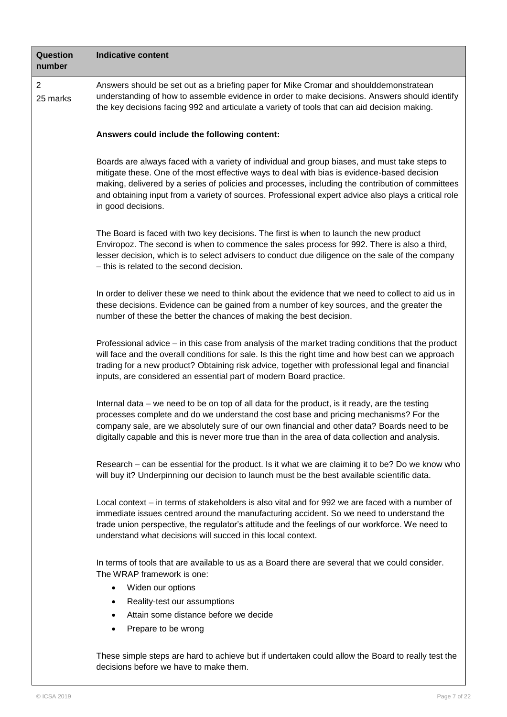| <b>Question</b><br>number  | <b>Indicative content</b>                                                                                                                                                                                                                                                                                                                                                                                                       |
|----------------------------|---------------------------------------------------------------------------------------------------------------------------------------------------------------------------------------------------------------------------------------------------------------------------------------------------------------------------------------------------------------------------------------------------------------------------------|
| $\overline{2}$<br>25 marks | Answers should be set out as a briefing paper for Mike Cromar and shoulddemonstratean<br>understanding of how to assemble evidence in order to make decisions. Answers should identify<br>the key decisions facing 992 and articulate a variety of tools that can aid decision making.                                                                                                                                          |
|                            | Answers could include the following content:                                                                                                                                                                                                                                                                                                                                                                                    |
|                            | Boards are always faced with a variety of individual and group biases, and must take steps to<br>mitigate these. One of the most effective ways to deal with bias is evidence-based decision<br>making, delivered by a series of policies and processes, including the contribution of committees<br>and obtaining input from a variety of sources. Professional expert advice also plays a critical role<br>in good decisions. |
|                            | The Board is faced with two key decisions. The first is when to launch the new product<br>Enviropoz. The second is when to commence the sales process for 992. There is also a third,<br>lesser decision, which is to select advisers to conduct due diligence on the sale of the company<br>- this is related to the second decision.                                                                                          |
|                            | In order to deliver these we need to think about the evidence that we need to collect to aid us in<br>these decisions. Evidence can be gained from a number of key sources, and the greater the<br>number of these the better the chances of making the best decision.                                                                                                                                                          |
|                            | Professional advice – in this case from analysis of the market trading conditions that the product<br>will face and the overall conditions for sale. Is this the right time and how best can we approach<br>trading for a new product? Obtaining risk advice, together with professional legal and financial<br>inputs, are considered an essential part of modern Board practice.                                              |
|                            | Internal data – we need to be on top of all data for the product, is it ready, are the testing<br>processes complete and do we understand the cost base and pricing mechanisms? For the<br>company sale, are we absolutely sure of our own financial and other data? Boards need to be<br>digitally capable and this is never more true than in the area of data collection and analysis.                                       |
|                            | Research – can be essential for the product. Is it what we are claiming it to be? Do we know who<br>will buy it? Underpinning our decision to launch must be the best available scientific data.                                                                                                                                                                                                                                |
|                            | Local context – in terms of stakeholders is also vital and for 992 we are faced with a number of<br>immediate issues centred around the manufacturing accident. So we need to understand the<br>trade union perspective, the regulator's attitude and the feelings of our workforce. We need to<br>understand what decisions will succed in this local context.                                                                 |
|                            | In terms of tools that are available to us as a Board there are several that we could consider.<br>The WRAP framework is one:                                                                                                                                                                                                                                                                                                   |
|                            | Widen our options<br>$\bullet$                                                                                                                                                                                                                                                                                                                                                                                                  |
|                            | Reality-test our assumptions<br>$\bullet$                                                                                                                                                                                                                                                                                                                                                                                       |
|                            | Attain some distance before we decide                                                                                                                                                                                                                                                                                                                                                                                           |
|                            | Prepare to be wrong                                                                                                                                                                                                                                                                                                                                                                                                             |
|                            | These simple steps are hard to achieve but if undertaken could allow the Board to really test the<br>decisions before we have to make them.                                                                                                                                                                                                                                                                                     |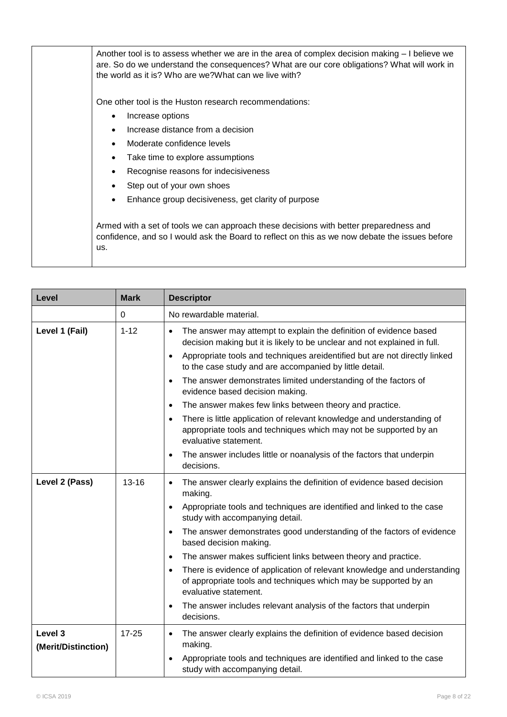| Another tool is to assess whether we are in the area of complex decision making - I believe we<br>are. So do we understand the consequences? What are our core obligations? What will work in<br>the world as it is? Who are we? What can we live with? |
|---------------------------------------------------------------------------------------------------------------------------------------------------------------------------------------------------------------------------------------------------------|
| One other tool is the Huston research recommendations:                                                                                                                                                                                                  |
| Increase options<br>٠                                                                                                                                                                                                                                   |
| Increase distance from a decision                                                                                                                                                                                                                       |
| Moderate confidence levels                                                                                                                                                                                                                              |
| Take time to explore assumptions                                                                                                                                                                                                                        |
| Recognise reasons for indecisiveness                                                                                                                                                                                                                    |
| Step out of your own shoes                                                                                                                                                                                                                              |
| Enhance group decisiveness, get clarity of purpose                                                                                                                                                                                                      |
|                                                                                                                                                                                                                                                         |
| Armed with a set of tools we can approach these decisions with better preparedness and<br>confidence, and so I would ask the Board to reflect on this as we now debate the issues before<br>us.                                                         |

| Level                          | <b>Mark</b> | <b>Descriptor</b>                                                                                                                                                                                                                                                                                                                                                                                                                                                                                                                                                                                                                                                                                                                                                                                      |
|--------------------------------|-------------|--------------------------------------------------------------------------------------------------------------------------------------------------------------------------------------------------------------------------------------------------------------------------------------------------------------------------------------------------------------------------------------------------------------------------------------------------------------------------------------------------------------------------------------------------------------------------------------------------------------------------------------------------------------------------------------------------------------------------------------------------------------------------------------------------------|
|                                | 0           | No rewardable material.                                                                                                                                                                                                                                                                                                                                                                                                                                                                                                                                                                                                                                                                                                                                                                                |
| Level 1 (Fail)                 | $1 - 12$    | The answer may attempt to explain the definition of evidence based<br>$\bullet$<br>decision making but it is likely to be unclear and not explained in full.<br>Appropriate tools and techniques areidentified but are not directly linked<br>$\bullet$<br>to the case study and are accompanied by little detail.<br>The answer demonstrates limited understanding of the factors of<br>$\bullet$<br>evidence based decision making.<br>The answer makes few links between theory and practice.<br>$\bullet$<br>There is little application of relevant knowledge and understanding of<br>$\bullet$<br>appropriate tools and techniques which may not be supported by an<br>evaluative statement.<br>The answer includes little or noanalysis of the factors that underpin<br>$\bullet$<br>decisions. |
| Level 2 (Pass)                 | $13 - 16$   | The answer clearly explains the definition of evidence based decision<br>$\bullet$<br>making.<br>Appropriate tools and techniques are identified and linked to the case<br>$\bullet$<br>study with accompanying detail.<br>The answer demonstrates good understanding of the factors of evidence<br>$\bullet$<br>based decision making.<br>The answer makes sufficient links between theory and practice.<br>$\bullet$<br>There is evidence of application of relevant knowledge and understanding<br>$\bullet$<br>of appropriate tools and techniques which may be supported by an<br>evaluative statement.<br>The answer includes relevant analysis of the factors that underpin<br>$\bullet$<br>decisions.                                                                                          |
| Level 3<br>(Merit/Distinction) | $17 - 25$   | The answer clearly explains the definition of evidence based decision<br>$\bullet$<br>making.<br>Appropriate tools and techniques are identified and linked to the case<br>study with accompanying detail.                                                                                                                                                                                                                                                                                                                                                                                                                                                                                                                                                                                             |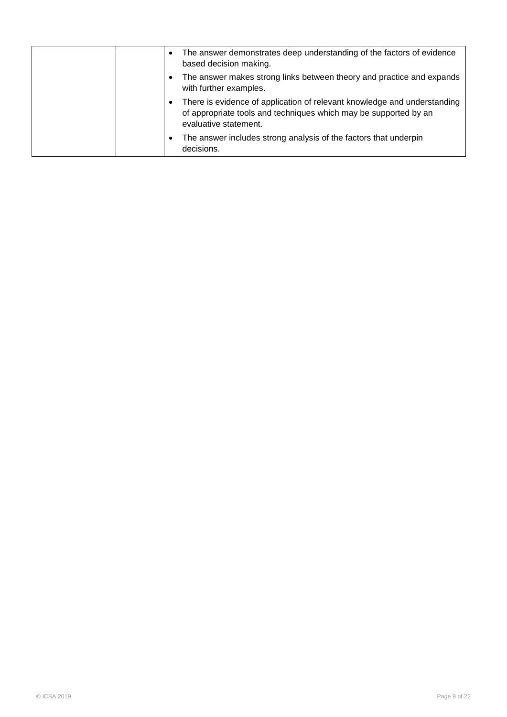|  | The answer demonstrates deep understanding of the factors of evidence<br>based decision making.                                                                       |
|--|-----------------------------------------------------------------------------------------------------------------------------------------------------------------------|
|  | The answer makes strong links between theory and practice and expands<br>with further examples.                                                                       |
|  | There is evidence of application of relevant knowledge and understanding<br>of appropriate tools and techniques which may be supported by an<br>evaluative statement. |
|  | The answer includes strong analysis of the factors that underpin<br>decisions.                                                                                        |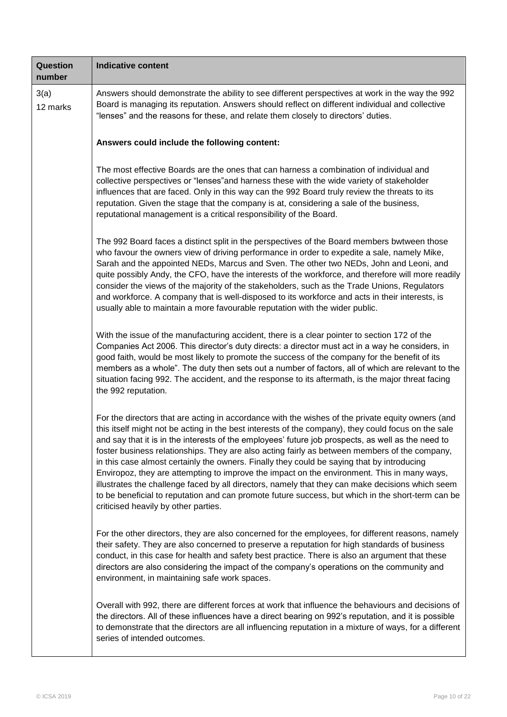| <b>Question</b><br>number | <b>Indicative content</b>                                                                                                                                                                                                                                                                                                                                                                                                                                                                                                                                                                                                                                                                                                                                                                                                                                     |
|---------------------------|---------------------------------------------------------------------------------------------------------------------------------------------------------------------------------------------------------------------------------------------------------------------------------------------------------------------------------------------------------------------------------------------------------------------------------------------------------------------------------------------------------------------------------------------------------------------------------------------------------------------------------------------------------------------------------------------------------------------------------------------------------------------------------------------------------------------------------------------------------------|
| 3(a)<br>12 marks          | Answers should demonstrate the ability to see different perspectives at work in the way the 992<br>Board is managing its reputation. Answers should reflect on different individual and collective<br>"lenses" and the reasons for these, and relate them closely to directors' duties.                                                                                                                                                                                                                                                                                                                                                                                                                                                                                                                                                                       |
|                           | Answers could include the following content:                                                                                                                                                                                                                                                                                                                                                                                                                                                                                                                                                                                                                                                                                                                                                                                                                  |
|                           | The most effective Boards are the ones that can harness a combination of individual and<br>collective perspectives or "lenses" and harness these with the wide variety of stakeholder<br>influences that are faced. Only in this way can the 992 Board truly review the threats to its<br>reputation. Given the stage that the company is at, considering a sale of the business,<br>reputational management is a critical responsibility of the Board.                                                                                                                                                                                                                                                                                                                                                                                                       |
|                           | The 992 Board faces a distinct split in the perspectives of the Board members bwtween those<br>who favour the owners view of driving performance in order to expedite a sale, namely Mike,<br>Sarah and the appointed NEDs, Marcus and Sven. The other two NEDs, John and Leoni, and<br>quite possibly Andy, the CFO, have the interests of the workforce, and therefore will more readily<br>consider the views of the majority of the stakeholders, such as the Trade Unions, Regulators<br>and workforce. A company that is well-disposed to its workforce and acts in their interests, is<br>usually able to maintain a more favourable reputation with the wider public.                                                                                                                                                                                 |
|                           | With the issue of the manufacturing accident, there is a clear pointer to section 172 of the<br>Companies Act 2006. This director's duty directs: a director must act in a way he considers, in<br>good faith, would be most likely to promote the success of the company for the benefit of its<br>members as a whole". The duty then sets out a number of factors, all of which are relevant to the<br>situation facing 992. The accident, and the response to its aftermath, is the major threat facing<br>the 992 reputation.                                                                                                                                                                                                                                                                                                                             |
|                           | For the directors that are acting in accordance with the wishes of the private equity owners (and<br>this itself might not be acting in the best interests of the company), they could focus on the sale<br>and say that it is in the interests of the employees' future job prospects, as well as the need to<br>foster business relationships. They are also acting fairly as between members of the company,<br>in this case almost certainly the owners. Finally they could be saying that by introducing<br>Enviropoz, they are attempting to improve the impact on the environment. This in many ways,<br>illustrates the challenge faced by all directors, namely that they can make decisions which seem<br>to be beneficial to reputation and can promote future success, but which in the short-term can be<br>criticised heavily by other parties. |
|                           | For the other directors, they are also concerned for the employees, for different reasons, namely<br>their safety. They are also concerned to preserve a reputation for high standards of business<br>conduct, in this case for health and safety best practice. There is also an argument that these<br>directors are also considering the impact of the company's operations on the community and<br>environment, in maintaining safe work spaces.                                                                                                                                                                                                                                                                                                                                                                                                          |
|                           | Overall with 992, there are different forces at work that influence the behaviours and decisions of<br>the directors. All of these influences have a direct bearing on 992's reputation, and it is possible<br>to demonstrate that the directors are all influencing reputation in a mixture of ways, for a different<br>series of intended outcomes.                                                                                                                                                                                                                                                                                                                                                                                                                                                                                                         |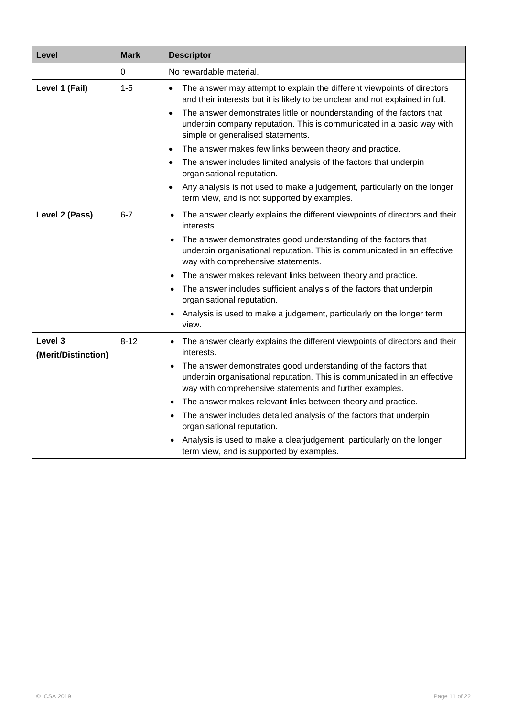| Level                                     | <b>Mark</b> | <b>Descriptor</b>                                                                                                                                                                                                                                                                                                                                                                                                                                                                                                                                                                                                                |
|-------------------------------------------|-------------|----------------------------------------------------------------------------------------------------------------------------------------------------------------------------------------------------------------------------------------------------------------------------------------------------------------------------------------------------------------------------------------------------------------------------------------------------------------------------------------------------------------------------------------------------------------------------------------------------------------------------------|
|                                           | $\mathbf 0$ | No rewardable material.                                                                                                                                                                                                                                                                                                                                                                                                                                                                                                                                                                                                          |
| Level 1 (Fail)                            | $1 - 5$     | The answer may attempt to explain the different viewpoints of directors<br>and their interests but it is likely to be unclear and not explained in full.<br>The answer demonstrates little or nounderstanding of the factors that<br>$\bullet$<br>underpin company reputation. This is communicated in a basic way with<br>simple or generalised statements.<br>The answer makes few links between theory and practice.<br>$\bullet$<br>The answer includes limited analysis of the factors that underpin<br>organisational reputation.<br>Any analysis is not used to make a judgement, particularly on the longer<br>$\bullet$ |
|                                           |             | term view, and is not supported by examples.                                                                                                                                                                                                                                                                                                                                                                                                                                                                                                                                                                                     |
| Level 2 (Pass)                            | $6 - 7$     | The answer clearly explains the different viewpoints of directors and their<br>$\bullet$<br>interests.<br>The answer demonstrates good understanding of the factors that<br>underpin organisational reputation. This is communicated in an effective<br>way with comprehensive statements.<br>The answer makes relevant links between theory and practice.<br>$\bullet$<br>The answer includes sufficient analysis of the factors that underpin<br>organisational reputation.<br>Analysis is used to make a judgement, particularly on the longer term<br>view.                                                                  |
| Level <sub>3</sub><br>(Merit/Distinction) | $8 - 12$    | The answer clearly explains the different viewpoints of directors and their<br>$\bullet$<br>interests.<br>The answer demonstrates good understanding of the factors that<br>underpin organisational reputation. This is communicated in an effective<br>way with comprehensive statements and further examples.<br>The answer makes relevant links between theory and practice.<br>٠<br>The answer includes detailed analysis of the factors that underpin<br>organisational reputation.<br>Analysis is used to make a clearjudgement, particularly on the longer<br>term view, and is supported by examples.                    |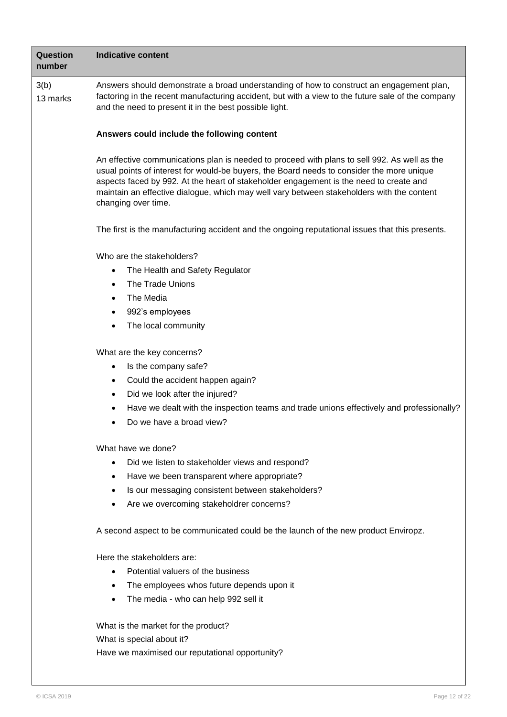| Question<br>number | <b>Indicative content</b>                                                                                                                                                                                                                                                                                                                                                                               |  |  |  |
|--------------------|---------------------------------------------------------------------------------------------------------------------------------------------------------------------------------------------------------------------------------------------------------------------------------------------------------------------------------------------------------------------------------------------------------|--|--|--|
| 3(b)<br>13 marks   | Answers should demonstrate a broad understanding of how to construct an engagement plan,<br>factoring in the recent manufacturing accident, but with a view to the future sale of the company<br>and the need to present it in the best possible light.                                                                                                                                                 |  |  |  |
|                    | Answers could include the following content                                                                                                                                                                                                                                                                                                                                                             |  |  |  |
|                    | An effective communications plan is needed to proceed with plans to sell 992. As well as the<br>usual points of interest for would-be buyers, the Board needs to consider the more unique<br>aspects faced by 992. At the heart of stakeholder engagement is the need to create and<br>maintain an effective dialogue, which may well vary between stakeholders with the content<br>changing over time. |  |  |  |
|                    | The first is the manufacturing accident and the ongoing reputational issues that this presents.                                                                                                                                                                                                                                                                                                         |  |  |  |
|                    | Who are the stakeholders?<br>The Health and Safety Regulator<br>$\bullet$<br>The Trade Unions<br>$\bullet$<br>The Media<br>$\bullet$<br>992's employees<br>$\bullet$<br>The local community<br>What are the key concerns?                                                                                                                                                                               |  |  |  |
|                    | Is the company safe?<br>$\bullet$<br>Could the accident happen again?<br>$\bullet$<br>Did we look after the injured?<br>$\bullet$<br>Have we dealt with the inspection teams and trade unions effectively and professionally?<br>Do we have a broad view?                                                                                                                                               |  |  |  |
|                    | What have we done?<br>Did we listen to stakeholder views and respond?<br>$\bullet$<br>Have we been transparent where appropriate?<br>$\bullet$<br>Is our messaging consistent between stakeholders?<br>$\bullet$<br>Are we overcoming stakeholdrer concerns?                                                                                                                                            |  |  |  |
|                    | A second aspect to be communicated could be the launch of the new product Enviropz.                                                                                                                                                                                                                                                                                                                     |  |  |  |
|                    | Here the stakeholders are:<br>Potential valuers of the business<br>The employees whos future depends upon it<br>$\bullet$<br>The media - who can help 992 sell it<br>What is the market for the product?                                                                                                                                                                                                |  |  |  |
|                    | What is special about it?<br>Have we maximised our reputational opportunity?                                                                                                                                                                                                                                                                                                                            |  |  |  |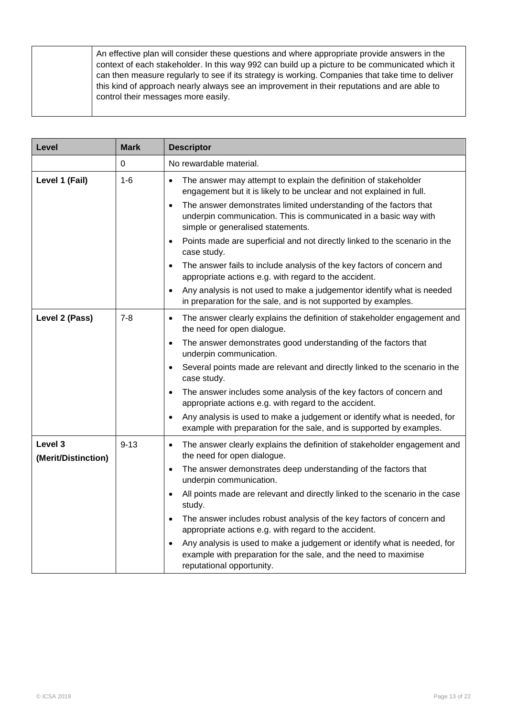| An effective plan will consider these questions and where appropriate provide answers in the<br>context of each stakeholder. In this way 992 can build up a picture to be communicated which it<br>can then measure regularly to see if its strategy is working. Companies that take time to deliver<br>this kind of approach nearly always see an improvement in their reputations and are able to<br>control their messages more easily. |
|--------------------------------------------------------------------------------------------------------------------------------------------------------------------------------------------------------------------------------------------------------------------------------------------------------------------------------------------------------------------------------------------------------------------------------------------|
|                                                                                                                                                                                                                                                                                                                                                                                                                                            |

| Level                          | <b>Mark</b> | <b>Descriptor</b>                                                                                                                                                                       |
|--------------------------------|-------------|-----------------------------------------------------------------------------------------------------------------------------------------------------------------------------------------|
|                                | 0           | No rewardable material.                                                                                                                                                                 |
| Level 1 (Fail)                 | $1-6$       | The answer may attempt to explain the definition of stakeholder<br>$\bullet$<br>engagement but it is likely to be unclear and not explained in full.                                    |
|                                |             | The answer demonstrates limited understanding of the factors that<br>$\bullet$<br>underpin communication. This is communicated in a basic way with<br>simple or generalised statements. |
|                                |             | Points made are superficial and not directly linked to the scenario in the<br>$\bullet$<br>case study.                                                                                  |
|                                |             | The answer fails to include analysis of the key factors of concern and<br>$\bullet$<br>appropriate actions e.g. with regard to the accident.                                            |
|                                |             | Any analysis is not used to make a judgementor identify what is needed<br>in preparation for the sale, and is not supported by examples.                                                |
| Level 2 (Pass)                 | $7 - 8$     | The answer clearly explains the definition of stakeholder engagement and<br>$\bullet$<br>the need for open dialogue.                                                                    |
|                                |             | The answer demonstrates good understanding of the factors that<br>$\bullet$<br>underpin communication.                                                                                  |
|                                |             | Several points made are relevant and directly linked to the scenario in the<br>$\bullet$<br>case study.                                                                                 |
|                                |             | The answer includes some analysis of the key factors of concern and<br>$\bullet$<br>appropriate actions e.g. with regard to the accident.                                               |
|                                |             | Any analysis is used to make a judgement or identify what is needed, for<br>example with preparation for the sale, and is supported by examples.                                        |
| Level 3<br>(Merit/Distinction) | $9 - 13$    | The answer clearly explains the definition of stakeholder engagement and<br>$\bullet$<br>the need for open dialogue.                                                                    |
|                                |             | The answer demonstrates deep understanding of the factors that<br>underpin communication.                                                                                               |
|                                |             | All points made are relevant and directly linked to the scenario in the case<br>$\bullet$<br>study.                                                                                     |
|                                |             | The answer includes robust analysis of the key factors of concern and<br>$\bullet$<br>appropriate actions e.g. with regard to the accident.                                             |
|                                |             | Any analysis is used to make a judgement or identify what is needed, for<br>example with preparation for the sale, and the need to maximise<br>reputational opportunity.                |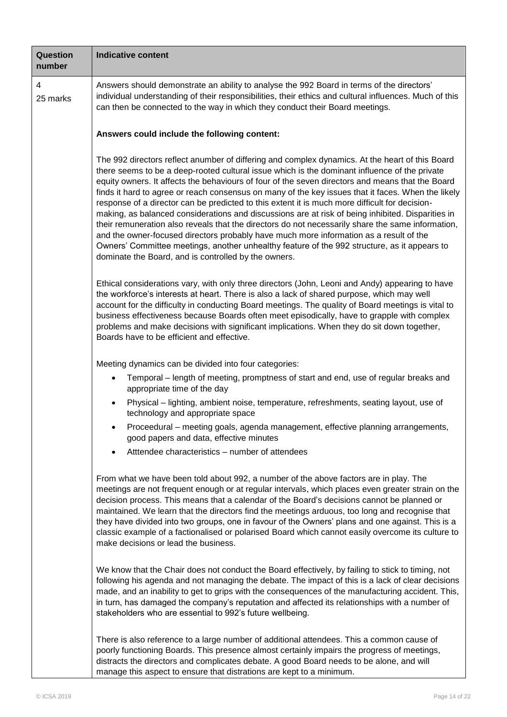| <b>Question</b><br>number | <b>Indicative content</b>                                                                                                                                                                                                                                                                                                                                                                                                                                                                                                                                                                                                                                                                                                                                                                                                                                                                                                                                                |
|---------------------------|--------------------------------------------------------------------------------------------------------------------------------------------------------------------------------------------------------------------------------------------------------------------------------------------------------------------------------------------------------------------------------------------------------------------------------------------------------------------------------------------------------------------------------------------------------------------------------------------------------------------------------------------------------------------------------------------------------------------------------------------------------------------------------------------------------------------------------------------------------------------------------------------------------------------------------------------------------------------------|
| 4<br>25 marks             | Answers should demonstrate an ability to analyse the 992 Board in terms of the directors'<br>individual understanding of their responsibilities, their ethics and cultural influences. Much of this<br>can then be connected to the way in which they conduct their Board meetings.                                                                                                                                                                                                                                                                                                                                                                                                                                                                                                                                                                                                                                                                                      |
|                           | Answers could include the following content:                                                                                                                                                                                                                                                                                                                                                                                                                                                                                                                                                                                                                                                                                                                                                                                                                                                                                                                             |
|                           | The 992 directors reflect anumber of differing and complex dynamics. At the heart of this Board<br>there seems to be a deep-rooted cultural issue which is the dominant influence of the private<br>equity owners. It affects the behaviours of four of the seven directors and means that the Board<br>finds it hard to agree or reach consensus on many of the key issues that it faces. When the likely<br>response of a director can be predicted to this extent it is much more difficult for decision-<br>making, as balanced considerations and discussions are at risk of being inhibited. Disparities in<br>their remuneration also reveals that the directors do not necessarily share the same information,<br>and the owner-focused directors probably have much more information as a result of the<br>Owners' Committee meetings, another unhealthy feature of the 992 structure, as it appears to<br>dominate the Board, and is controlled by the owners. |
|                           | Ethical considerations vary, with only three directors (John, Leoni and Andy) appearing to have<br>the workforce's interests at heart. There is also a lack of shared purpose, which may well<br>account for the difficulty in conducting Board meetings. The quality of Board meetings is vital to<br>business effectiveness because Boards often meet episodically, have to grapple with complex<br>problems and make decisions with significant implications. When they do sit down together,<br>Boards have to be efficient and effective.                                                                                                                                                                                                                                                                                                                                                                                                                           |
|                           | Meeting dynamics can be divided into four categories:                                                                                                                                                                                                                                                                                                                                                                                                                                                                                                                                                                                                                                                                                                                                                                                                                                                                                                                    |
|                           | Temporal – length of meeting, promptness of start and end, use of regular breaks and<br>appropriate time of the day                                                                                                                                                                                                                                                                                                                                                                                                                                                                                                                                                                                                                                                                                                                                                                                                                                                      |
|                           | Physical – lighting, ambient noise, temperature, refreshments, seating layout, use of<br>$\bullet$<br>technology and appropriate space                                                                                                                                                                                                                                                                                                                                                                                                                                                                                                                                                                                                                                                                                                                                                                                                                                   |
|                           | Proceedural - meeting goals, agenda management, effective planning arrangements,<br>good papers and data, effective minutes                                                                                                                                                                                                                                                                                                                                                                                                                                                                                                                                                                                                                                                                                                                                                                                                                                              |
|                           | Atttendee characteristics – number of attendees                                                                                                                                                                                                                                                                                                                                                                                                                                                                                                                                                                                                                                                                                                                                                                                                                                                                                                                          |
|                           | From what we have been told about 992, a number of the above factors are in play. The<br>meetings are not frequent enough or at regular intervals, which places even greater strain on the<br>decision process. This means that a calendar of the Board's decisions cannot be planned or<br>maintained. We learn that the directors find the meetings arduous, too long and recognise that<br>they have divided into two groups, one in favour of the Owners' plans and one against. This is a<br>classic example of a factionalised or polarised Board which cannot easily overcome its culture to<br>make decisions or lead the business.                                                                                                                                                                                                                                                                                                                              |
|                           | We know that the Chair does not conduct the Board effectively, by failing to stick to timing, not<br>following his agenda and not managing the debate. The impact of this is a lack of clear decisions<br>made, and an inability to get to grips with the consequences of the manufacturing accident. This,<br>in turn, has damaged the company's reputation and affected its relationships with a number of<br>stakeholders who are essential to 992's future wellbeing.                                                                                                                                                                                                                                                                                                                                                                                                                                                                                                |
|                           | There is also reference to a large number of additional attendees. This a common cause of<br>poorly functioning Boards. This presence almost certainly impairs the progress of meetings,<br>distracts the directors and complicates debate. A good Board needs to be alone, and will                                                                                                                                                                                                                                                                                                                                                                                                                                                                                                                                                                                                                                                                                     |

manage this aspect to ensure that distrations are kept to a minimum.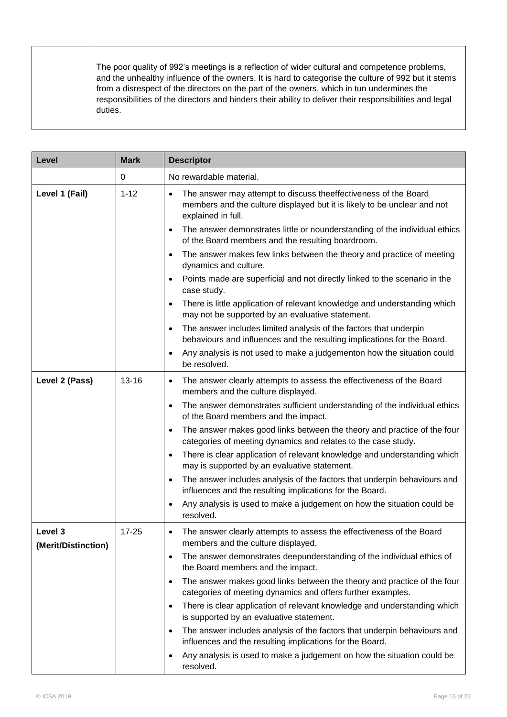| Level                          | <b>Mark</b> | <b>Descriptor</b>                                                                                                                                                 |
|--------------------------------|-------------|-------------------------------------------------------------------------------------------------------------------------------------------------------------------|
|                                | 0           | No rewardable material.                                                                                                                                           |
| Level 1 (Fail)                 | $1 - 12$    | The answer may attempt to discuss theeffectiveness of the Board<br>members and the culture displayed but it is likely to be unclear and not<br>explained in full. |
|                                |             | The answer demonstrates little or nounderstanding of the individual ethics<br>$\bullet$<br>of the Board members and the resulting boardroom.                      |
|                                |             | The answer makes few links between the theory and practice of meeting<br>$\bullet$<br>dynamics and culture.                                                       |
|                                |             | Points made are superficial and not directly linked to the scenario in the<br>$\bullet$<br>case study.                                                            |
|                                |             | There is little application of relevant knowledge and understanding which<br>$\bullet$<br>may not be supported by an evaluative statement.                        |
|                                |             | The answer includes limited analysis of the factors that underpin<br>$\bullet$<br>behaviours and influences and the resulting implications for the Board.         |
|                                |             | Any analysis is not used to make a judgementon how the situation could<br>$\bullet$<br>be resolved.                                                               |
| Level 2 (Pass)                 | $13 - 16$   | The answer clearly attempts to assess the effectiveness of the Board<br>$\bullet$<br>members and the culture displayed.                                           |
|                                |             | The answer demonstrates sufficient understanding of the individual ethics<br>$\bullet$<br>of the Board members and the impact.                                    |
|                                |             | The answer makes good links between the theory and practice of the four<br>$\bullet$<br>categories of meeting dynamics and relates to the case study.             |
|                                |             | There is clear application of relevant knowledge and understanding which<br>$\bullet$<br>may is supported by an evaluative statement.                             |
|                                |             | The answer includes analysis of the factors that underpin behaviours and<br>$\bullet$<br>influences and the resulting implications for the Board.                 |
|                                |             | Any analysis is used to make a judgement on how the situation could be<br>resolved.                                                                               |
| Level 3<br>(Merit/Distinction) | $17 - 25$   | The answer clearly attempts to assess the effectiveness of the Board<br>members and the culture displayed.                                                        |
|                                |             | The answer demonstrates deepunderstanding of the individual ethics of<br>$\bullet$<br>the Board members and the impact.                                           |
|                                |             | The answer makes good links between the theory and practice of the four<br>$\bullet$<br>categories of meeting dynamics and offers further examples.               |
|                                |             | There is clear application of relevant knowledge and understanding which<br>$\bullet$<br>is supported by an evaluative statement.                                 |
|                                |             | The answer includes analysis of the factors that underpin behaviours and<br>$\bullet$<br>influences and the resulting implications for the Board.                 |
|                                |             | Any analysis is used to make a judgement on how the situation could be<br>$\bullet$<br>resolved.                                                                  |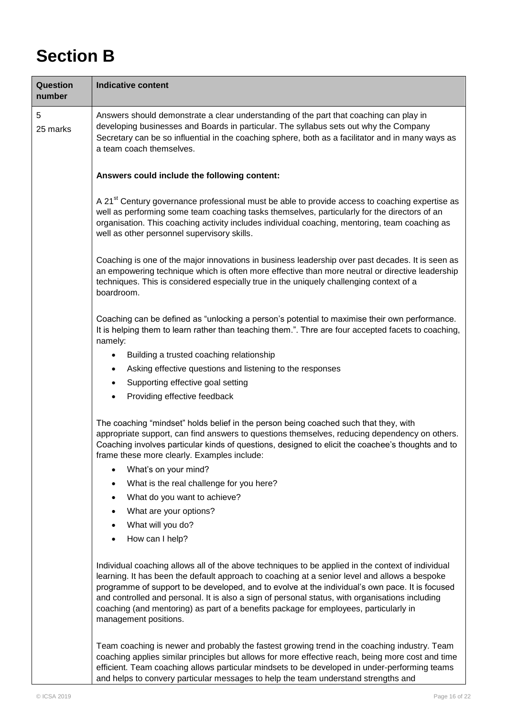## **Section B**

| <b>Question</b><br>number | <b>Indicative content</b>                                                                                                                                                                                                                                                                                                                                                                                                                                                                                                  |
|---------------------------|----------------------------------------------------------------------------------------------------------------------------------------------------------------------------------------------------------------------------------------------------------------------------------------------------------------------------------------------------------------------------------------------------------------------------------------------------------------------------------------------------------------------------|
| 5<br>25 marks             | Answers should demonstrate a clear understanding of the part that coaching can play in<br>developing businesses and Boards in particular. The syllabus sets out why the Company<br>Secretary can be so influential in the coaching sphere, both as a facilitator and in many ways as<br>a team coach themselves.                                                                                                                                                                                                           |
|                           | Answers could include the following content:                                                                                                                                                                                                                                                                                                                                                                                                                                                                               |
|                           | A 21 <sup>st</sup> Century governance professional must be able to provide access to coaching expertise as<br>well as performing some team coaching tasks themselves, particularly for the directors of an<br>organisation. This coaching activity includes individual coaching, mentoring, team coaching as<br>well as other personnel supervisory skills.                                                                                                                                                                |
|                           | Coaching is one of the major innovations in business leadership over past decades. It is seen as<br>an empowering technique which is often more effective than more neutral or directive leadership<br>techniques. This is considered especially true in the uniquely challenging context of a<br>boardroom.                                                                                                                                                                                                               |
|                           | Coaching can be defined as "unlocking a person's potential to maximise their own performance.<br>It is helping them to learn rather than teaching them.". Thre are four accepted facets to coaching,<br>namely:                                                                                                                                                                                                                                                                                                            |
|                           | Building a trusted coaching relationship<br>٠                                                                                                                                                                                                                                                                                                                                                                                                                                                                              |
|                           | Asking effective questions and listening to the responses                                                                                                                                                                                                                                                                                                                                                                                                                                                                  |
|                           | Supporting effective goal setting<br>٠                                                                                                                                                                                                                                                                                                                                                                                                                                                                                     |
|                           | Providing effective feedback<br>٠                                                                                                                                                                                                                                                                                                                                                                                                                                                                                          |
|                           | The coaching "mindset" holds belief in the person being coached such that they, with<br>appropriate support, can find answers to questions themselves, reducing dependency on others.<br>Coaching involves particular kinds of questions, designed to elicit the coachee's thoughts and to<br>frame these more clearly. Examples include:                                                                                                                                                                                  |
|                           | What's on your mind?                                                                                                                                                                                                                                                                                                                                                                                                                                                                                                       |
|                           | What is the real challenge for you here?                                                                                                                                                                                                                                                                                                                                                                                                                                                                                   |
|                           | What do you want to achieve?                                                                                                                                                                                                                                                                                                                                                                                                                                                                                               |
|                           | What are your options?<br>٠                                                                                                                                                                                                                                                                                                                                                                                                                                                                                                |
|                           | What will you do?                                                                                                                                                                                                                                                                                                                                                                                                                                                                                                          |
|                           | How can I help?                                                                                                                                                                                                                                                                                                                                                                                                                                                                                                            |
|                           | Individual coaching allows all of the above techniques to be applied in the context of individual<br>learning. It has been the default approach to coaching at a senior level and allows a bespoke<br>programme of support to be developed, and to evolve at the individual's own pace. It is focused<br>and controlled and personal. It is also a sign of personal status, with organisations including<br>coaching (and mentoring) as part of a benefits package for employees, particularly in<br>management positions. |
|                           | Team coaching is newer and probably the fastest growing trend in the coaching industry. Team<br>coaching applies similar principles but allows for more effective reach, being more cost and time<br>efficient. Team coaching allows particular mindsets to be developed in under-performing teams                                                                                                                                                                                                                         |

and helps to convery particular messages to help the team understand strengths and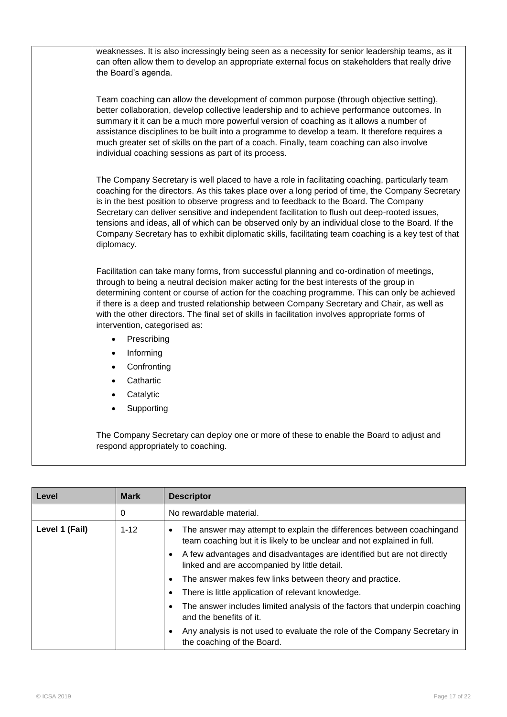| weaknesses. It is also incressingly being seen as a necessity for senior leadership teams, as it<br>can often allow them to develop an appropriate external focus on stakeholders that really drive<br>the Board's agenda.                                                                                                                                                                                                                                                                                                                                                                                                |
|---------------------------------------------------------------------------------------------------------------------------------------------------------------------------------------------------------------------------------------------------------------------------------------------------------------------------------------------------------------------------------------------------------------------------------------------------------------------------------------------------------------------------------------------------------------------------------------------------------------------------|
| Team coaching can allow the development of common purpose (through objective setting),<br>better collaboration, develop collective leadership and to achieve performance outcomes. In<br>summary it it can be a much more powerful version of coaching as it allows a number of<br>assistance disciplines to be built into a programme to develop a team. It therefore requires a<br>much greater set of skills on the part of a coach. Finally, team coaching can also involve<br>individual coaching sessions as part of its process.                                                                                   |
| The Company Secretary is well placed to have a role in facilitating coaching, particularly team<br>coaching for the directors. As this takes place over a long period of time, the Company Secretary<br>is in the best position to observe progress and to feedback to the Board. The Company<br>Secretary can deliver sensitive and independent facilitation to flush out deep-rooted issues,<br>tensions and ideas, all of which can be observed only by an individual close to the Board. If the<br>Company Secretary has to exhibit diplomatic skills, facilitating team coaching is a key test of that<br>diplomacy. |
| Facilitation can take many forms, from successful planning and co-ordination of meetings,<br>through to being a neutral decision maker acting for the best interests of the group in<br>determining content or course of action for the coaching programme. This can only be achieved<br>if there is a deep and trusted relationship between Company Secretary and Chair, as well as<br>with the other directors. The final set of skills in facilitation involves appropriate forms of<br>intervention, categorised as:                                                                                                  |
| Prescribing<br>$\bullet$                                                                                                                                                                                                                                                                                                                                                                                                                                                                                                                                                                                                  |
| Informing<br>$\bullet$                                                                                                                                                                                                                                                                                                                                                                                                                                                                                                                                                                                                    |
| Confronting<br>$\bullet$                                                                                                                                                                                                                                                                                                                                                                                                                                                                                                                                                                                                  |
| Cathartic                                                                                                                                                                                                                                                                                                                                                                                                                                                                                                                                                                                                                 |
| Catalytic                                                                                                                                                                                                                                                                                                                                                                                                                                                                                                                                                                                                                 |
| Supporting                                                                                                                                                                                                                                                                                                                                                                                                                                                                                                                                                                                                                |
| The Company Secretary can deploy one or more of these to enable the Board to adjust and<br>respond appropriately to coaching.                                                                                                                                                                                                                                                                                                                                                                                                                                                                                             |

| Level          | <b>Mark</b> | <b>Descriptor</b>                                                                                                                                             |
|----------------|-------------|---------------------------------------------------------------------------------------------------------------------------------------------------------------|
|                | 0           | No rewardable material.                                                                                                                                       |
| Level 1 (Fail) | $1 - 12$    | The answer may attempt to explain the differences between coachingand<br>$\bullet$<br>team coaching but it is likely to be unclear and not explained in full. |
|                |             | A few advantages and disadvantages are identified but are not directly<br>linked and are accompanied by little detail.                                        |
|                |             | The answer makes few links between theory and practice.                                                                                                       |
|                |             | There is little application of relevant knowledge.                                                                                                            |
|                |             | The answer includes limited analysis of the factors that underpin coaching<br>and the benefits of it.                                                         |
|                |             | Any analysis is not used to evaluate the role of the Company Secretary in<br>the coaching of the Board.                                                       |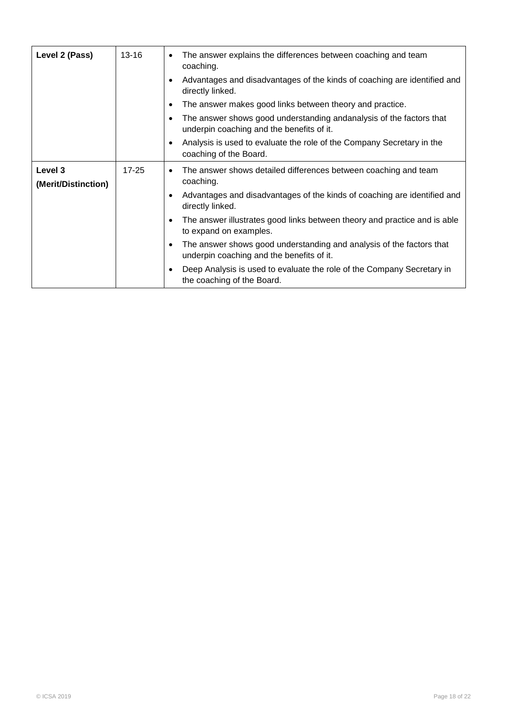| Level 2 (Pass)                 | $13 - 16$ | The answer explains the differences between coaching and team<br>coaching.                                             |
|--------------------------------|-----------|------------------------------------------------------------------------------------------------------------------------|
|                                |           | Advantages and disadvantages of the kinds of coaching are identified and<br>$\bullet$<br>directly linked.              |
|                                |           | The answer makes good links between theory and practice.<br>$\bullet$                                                  |
|                                |           | The answer shows good understanding andanalysis of the factors that<br>underpin coaching and the benefits of it.       |
|                                |           | Analysis is used to evaluate the role of the Company Secretary in the<br>$\bullet$<br>coaching of the Board.           |
| Level 3<br>(Merit/Distinction) | $17 - 25$ | The answer shows detailed differences between coaching and team<br>coaching.                                           |
|                                |           | Advantages and disadvantages of the kinds of coaching are identified and<br>$\bullet$<br>directly linked.              |
|                                |           | The answer illustrates good links between theory and practice and is able<br>$\bullet$<br>to expand on examples.       |
|                                |           | The answer shows good understanding and analysis of the factors that<br>٠<br>underpin coaching and the benefits of it. |
|                                |           | Deep Analysis is used to evaluate the role of the Company Secretary in<br>$\bullet$<br>the coaching of the Board.      |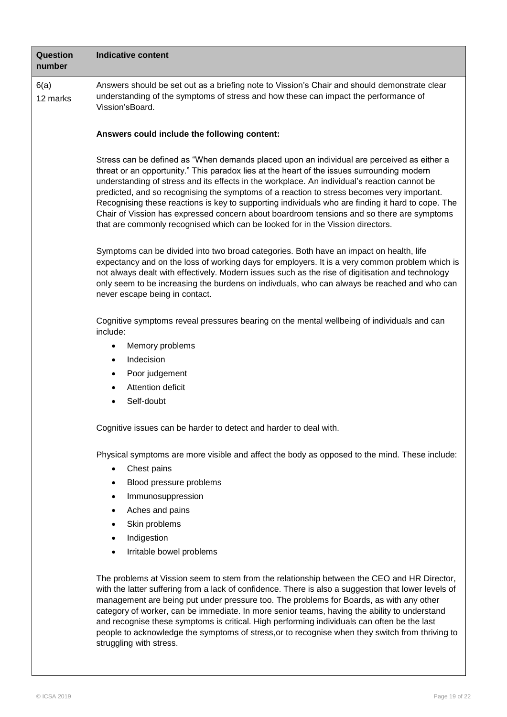| <b>Question</b><br>number | <b>Indicative content</b>                                                                                                                                                                                                                                                                                                                                                                                                                                                                                                                                                                                                                                                  |  |  |  |
|---------------------------|----------------------------------------------------------------------------------------------------------------------------------------------------------------------------------------------------------------------------------------------------------------------------------------------------------------------------------------------------------------------------------------------------------------------------------------------------------------------------------------------------------------------------------------------------------------------------------------------------------------------------------------------------------------------------|--|--|--|
| 6(a)<br>12 marks          | Answers should be set out as a briefing note to Vission's Chair and should demonstrate clear<br>understanding of the symptoms of stress and how these can impact the performance of<br>Vission'sBoard.                                                                                                                                                                                                                                                                                                                                                                                                                                                                     |  |  |  |
|                           | Answers could include the following content:                                                                                                                                                                                                                                                                                                                                                                                                                                                                                                                                                                                                                               |  |  |  |
|                           | Stress can be defined as "When demands placed upon an individual are perceived as either a<br>threat or an opportunity." This paradox lies at the heart of the issues surrounding modern<br>understanding of stress and its effects in the workplace. An individual's reaction cannot be<br>predicted, and so recognising the symptoms of a reaction to stress becomes very important.<br>Recognising these reactions is key to supporting individuals who are finding it hard to cope. The<br>Chair of Vission has expressed concern about boardroom tensions and so there are symptoms<br>that are commonly recognised which can be looked for in the Vission directors. |  |  |  |
|                           | Symptoms can be divided into two broad categories. Both have an impact on health, life<br>expectancy and on the loss of working days for employers. It is a very common problem which is<br>not always dealt with effectively. Modern issues such as the rise of digitisation and technology<br>only seem to be increasing the burdens on indivduals, who can always be reached and who can<br>never escape being in contact.                                                                                                                                                                                                                                              |  |  |  |
|                           | Cognitive symptoms reveal pressures bearing on the mental wellbeing of individuals and can<br>include:                                                                                                                                                                                                                                                                                                                                                                                                                                                                                                                                                                     |  |  |  |
|                           | Memory problems<br>٠                                                                                                                                                                                                                                                                                                                                                                                                                                                                                                                                                                                                                                                       |  |  |  |
|                           | Indecision<br>$\bullet$                                                                                                                                                                                                                                                                                                                                                                                                                                                                                                                                                                                                                                                    |  |  |  |
|                           | Poor judgement<br>$\bullet$                                                                                                                                                                                                                                                                                                                                                                                                                                                                                                                                                                                                                                                |  |  |  |
|                           | Attention deficit                                                                                                                                                                                                                                                                                                                                                                                                                                                                                                                                                                                                                                                          |  |  |  |
|                           | Self-doubt                                                                                                                                                                                                                                                                                                                                                                                                                                                                                                                                                                                                                                                                 |  |  |  |
|                           | Cognitive issues can be harder to detect and harder to deal with.                                                                                                                                                                                                                                                                                                                                                                                                                                                                                                                                                                                                          |  |  |  |
|                           | Physical symptoms are more visible and affect the body as opposed to the mind. These include:<br>Chest pains                                                                                                                                                                                                                                                                                                                                                                                                                                                                                                                                                               |  |  |  |
|                           | Blood pressure problems                                                                                                                                                                                                                                                                                                                                                                                                                                                                                                                                                                                                                                                    |  |  |  |
|                           | Immunosuppression<br>٠                                                                                                                                                                                                                                                                                                                                                                                                                                                                                                                                                                                                                                                     |  |  |  |
|                           | Aches and pains                                                                                                                                                                                                                                                                                                                                                                                                                                                                                                                                                                                                                                                            |  |  |  |
|                           | Skin problems<br>٠                                                                                                                                                                                                                                                                                                                                                                                                                                                                                                                                                                                                                                                         |  |  |  |
|                           | Indigestion                                                                                                                                                                                                                                                                                                                                                                                                                                                                                                                                                                                                                                                                |  |  |  |
|                           | Irritable bowel problems                                                                                                                                                                                                                                                                                                                                                                                                                                                                                                                                                                                                                                                   |  |  |  |
|                           | The problems at Vission seem to stem from the relationship between the CEO and HR Director,<br>with the latter suffering from a lack of confidence. There is also a suggestion that lower levels of<br>management are being put under pressure too. The problems for Boards, as with any other<br>category of worker, can be immediate. In more senior teams, having the ability to understand<br>and recognise these symptoms is critical. High performing individuals can often be the last<br>people to acknowledge the symptoms of stress, or to recognise when they switch from thriving to<br>struggling with stress.                                                |  |  |  |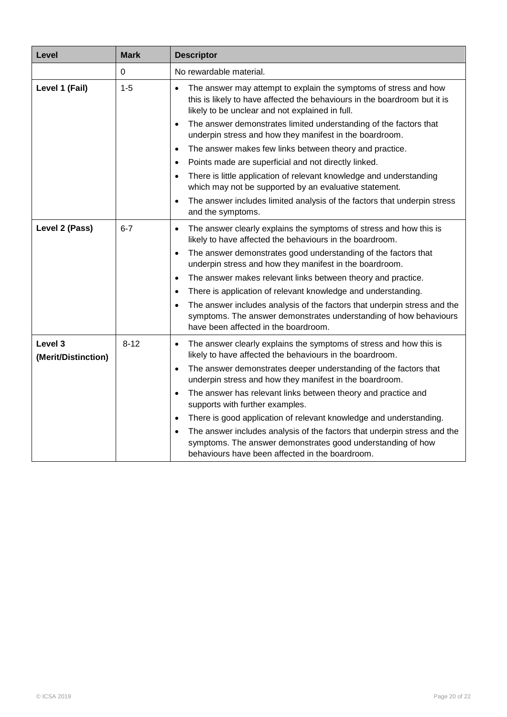| Level                          | <b>Mark</b> | <b>Descriptor</b>                                                                                                                                                                                       |
|--------------------------------|-------------|---------------------------------------------------------------------------------------------------------------------------------------------------------------------------------------------------------|
|                                | 0           | No rewardable material.                                                                                                                                                                                 |
| Level 1 (Fail)                 | $1 - 5$     | The answer may attempt to explain the symptoms of stress and how<br>this is likely to have affected the behaviours in the boardroom but it is<br>likely to be unclear and not explained in full.        |
|                                |             | The answer demonstrates limited understanding of the factors that<br>$\bullet$<br>underpin stress and how they manifest in the boardroom.                                                               |
|                                |             | The answer makes few links between theory and practice.<br>$\bullet$                                                                                                                                    |
|                                |             | Points made are superficial and not directly linked.<br>$\bullet$                                                                                                                                       |
|                                |             | There is little application of relevant knowledge and understanding<br>$\bullet$<br>which may not be supported by an evaluative statement.                                                              |
|                                |             | The answer includes limited analysis of the factors that underpin stress<br>$\bullet$<br>and the symptoms.                                                                                              |
| Level 2 (Pass)                 | $6 - 7$     | The answer clearly explains the symptoms of stress and how this is<br>$\bullet$<br>likely to have affected the behaviours in the boardroom.                                                             |
|                                |             | The answer demonstrates good understanding of the factors that<br>$\bullet$<br>underpin stress and how they manifest in the boardroom.                                                                  |
|                                |             | The answer makes relevant links between theory and practice.<br>$\bullet$                                                                                                                               |
|                                |             | There is application of relevant knowledge and understanding.<br>$\bullet$                                                                                                                              |
|                                |             | The answer includes analysis of the factors that underpin stress and the<br>$\bullet$<br>symptoms. The answer demonstrates understanding of how behaviours<br>have been affected in the boardroom.      |
| Level 3<br>(Merit/Distinction) | $8 - 12$    | The answer clearly explains the symptoms of stress and how this is<br>$\bullet$<br>likely to have affected the behaviours in the boardroom.                                                             |
|                                |             | The answer demonstrates deeper understanding of the factors that<br>$\bullet$<br>underpin stress and how they manifest in the boardroom.                                                                |
|                                |             | The answer has relevant links between theory and practice and<br>$\bullet$<br>supports with further examples.                                                                                           |
|                                |             | There is good application of relevant knowledge and understanding.<br>$\bullet$                                                                                                                         |
|                                |             | The answer includes analysis of the factors that underpin stress and the<br>$\bullet$<br>symptoms. The answer demonstrates good understanding of how<br>behaviours have been affected in the boardroom. |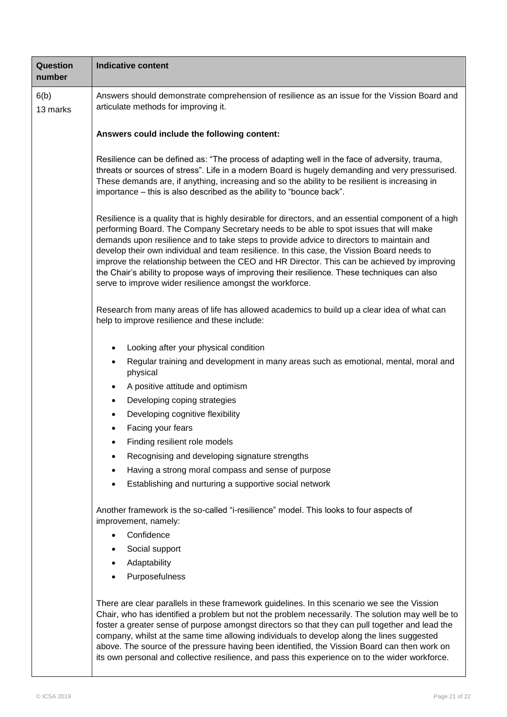| Question<br>number | <b>Indicative content</b>                                                                                                                                                                                                                                                                                                                                                                                                                                                                                                                                                                                                                                                                        |  |  |
|--------------------|--------------------------------------------------------------------------------------------------------------------------------------------------------------------------------------------------------------------------------------------------------------------------------------------------------------------------------------------------------------------------------------------------------------------------------------------------------------------------------------------------------------------------------------------------------------------------------------------------------------------------------------------------------------------------------------------------|--|--|
| 6(b)<br>13 marks   | Answers should demonstrate comprehension of resilience as an issue for the Vission Board and<br>articulate methods for improving it.                                                                                                                                                                                                                                                                                                                                                                                                                                                                                                                                                             |  |  |
|                    | Answers could include the following content:                                                                                                                                                                                                                                                                                                                                                                                                                                                                                                                                                                                                                                                     |  |  |
|                    | Resilience can be defined as: "The process of adapting well in the face of adversity, trauma,<br>threats or sources of stress". Life in a modern Board is hugely demanding and very pressurised.<br>These demands are, if anything, increasing and so the ability to be resilient is increasing in<br>importance - this is also described as the ability to "bounce back".                                                                                                                                                                                                                                                                                                                       |  |  |
|                    | Resilience is a quality that is highly desirable for directors, and an essential component of a high<br>performing Board. The Company Secretary needs to be able to spot issues that will make<br>demands upon resilience and to take steps to provide advice to directors to maintain and<br>develop their own individual and team resilience. In this case, the Vission Board needs to<br>improve the relationship between the CEO and HR Director. This can be achieved by improving<br>the Chair's ability to propose ways of improving their resilience. These techniques can also<br>serve to improve wider resilience amongst the workforce.                                              |  |  |
|                    | Research from many areas of life has allowed academics to build up a clear idea of what can<br>help to improve resilience and these include:                                                                                                                                                                                                                                                                                                                                                                                                                                                                                                                                                     |  |  |
|                    | Looking after your physical condition<br>Regular training and development in many areas such as emotional, mental, moral and<br>٠<br>physical<br>A positive attitude and optimism<br>$\bullet$<br>Developing coping strategies<br>$\bullet$<br>Developing cognitive flexibility<br>٠<br>Facing your fears<br>Finding resilient role models<br>Recognising and developing signature strengths<br>Having a strong moral compass and sense of purpose<br>Establishing and nurturing a supportive social network<br>Another framework is the so-called "i-resilience" model. This looks to four aspects of<br>improvement, namely:<br>Confidence<br>Social support<br>Adaptability<br>Purposefulness |  |  |
|                    | There are clear parallels in these framework guidelines. In this scenario we see the Vission<br>Chair, who has identified a problem but not the problem necessarily. The solution may well be to<br>foster a greater sense of purpose amongst directors so that they can pull together and lead the<br>company, whilst at the same time allowing individuals to develop along the lines suggested<br>above. The source of the pressure having been identified, the Vission Board can then work on<br>its own personal and collective resilience, and pass this experience on to the wider workforce.                                                                                             |  |  |